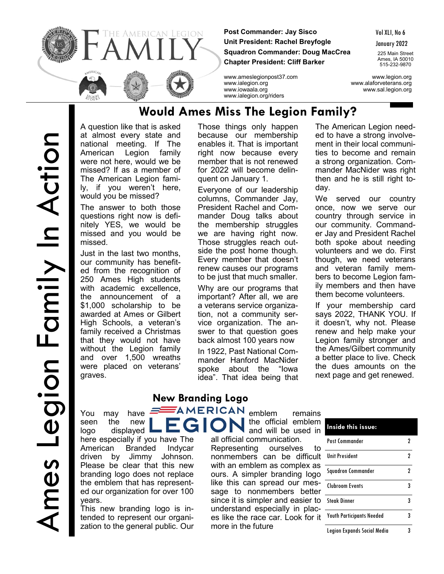

**Post Commander: Jay Sisco Unit President: Rachel Breyfogle Squadron Commander: Doug MacCrea Chapter President: Cliff Barker**

Vol XLI, No 6

January 2022

225 Main Street Ames, IA 50010 515-232-9870

www.ameslegionpost37.com www.legion.org www.ialegion.org www.alaforveterans.org www.iowaala.org www.sal.legion.org

## **Would Ames Miss The Legion Family?**

www.ialegion.org/riders

A question like that is asked at almost every state and national meeting. If The American Legion family were not here, would we be missed? If as a member of The American Legion family, if you weren't here, would you be missed?

The answer to both those questions right now is definitely YES, we would be missed and you would be missed.

Just in the last two months, our community has benefited from the recognition of 250 Ames High students with academic excellence. the announcement of a \$1,000 scholarship to be awarded at Ames or Gilbert High Schools, a veteran's family received a Christmas that they would not have without the Legion family and over 1,500 wreaths were placed on veterans' graves.

Those things only happen because our membership enables it. That is important right now because every member that is not renewed for 2022 will become delinquent on January 1.

Everyone of our leadership columns, Commander Jay, President Rachel and Commander Doug talks about the membership struggles we are having right now. Those struggles reach outside the post home though. Every member that doesn't renew causes our programs to be just that much smaller.

Why are our programs that important? After all, we are a veterans service organization, not a community service organization. The answer to that question goes back almost 100 years now

In 1922, Past National Commander Hanford MacNider spoke about the "Iowa idea". That idea being that The American Legion needed to have a strong involvement in their local communities to become and remain a strong organization. Commander MacNider was right then and he is still right today.

We served our country once, now we serve our country through service in our community. Commander Jay and President Rachel both spoke about needing volunteers and we do. First though, we need veterans and veteran family members to become Legion family members and then have them become volunteers.

If your membership card says 2022, THANK YOU. If it doesn't, why not. Please renew and help make your Legion family stronger and the Ames/Gilbert community a better place to live. Check the dues amounts on the next page and get renewed.

You may have seen the new logo displayed

here especially if you have The American Branded Indycar driven by Jimmy Johnson. Please be clear that this new branding logo does not replace the emblem that has represented our organization for over 100 years.

This new branding logo is intended to represent our organization to the general public. Our

#### **New Branding Logo AMERICAN** emblem remains

the official emblem and will be used in all official communication. Representing ourselves to nonmembers can be difficult

with an emblem as complex as ours. A simpler branding logo like this can spread our message to nonmembers better since it is simpler and easier to understand especially in places like the race car. Look for it more in the future

| Inside this issue:               |   |
|----------------------------------|---|
| Post Commander                   | 7 |
| <b>Ilnit President</b>           | 2 |
| <b>Squadron Commander</b>        | 2 |
| Clubroom Events                  | 3 |
| <b>Steak Dinner</b>              | 3 |
| <b>Youth Participants Needed</b> | 3 |
| Legion Expands Social Media      |   |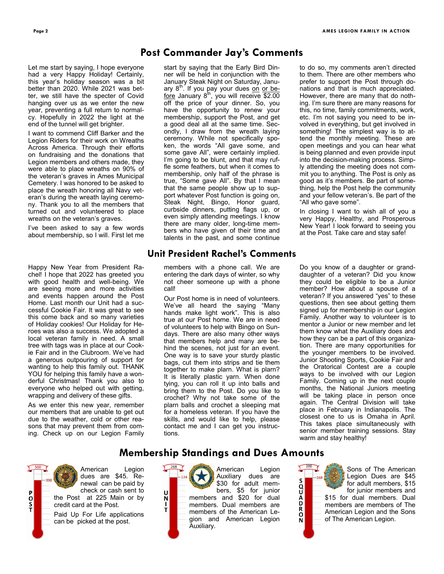Let me start by saying, I hope everyone had a very Happy Holiday! Certainly, this year's holiday season was a bit better than 2020. While 2021 was better, we still have the specter of Covid hanging over us as we enter the new year, preventing a full return to normalcy. Hopefully in 2022 the light at the end of the tunnel will get brighter.

I want to commend Cliff Barker and the Legion Riders for their work on Wreaths Across America. Through their efforts on fundraising and the donations that Legion members and others made, they were able to place wreaths on 90% of the veteran's graves in Ames Municipal Cemetery. I was honored to be asked to place the wreath honoring all Navy veteran's during the wreath laying ceremony. Thank you to all the members that turned out and volunteered to place wreaths on the veteran's graves.

I've been asked to say a few words about membership, so I will. First let me

Happy New Year from President Rachel! I hope that 2022 has greeted you with good health and well-being. We are seeing more and more activities and events happen around the Post Home. Last month our Unit had a successful Cookie Fair. It was great to see this come back and so many varieties of Holiday cookies! Our Holiday for Heroes was also a success. We adopted a local veteran family in need. A small tree with tags was in place at our Cookie Fair and in the Clubroom. We've had a generous outpouring of support for wanting to help this family out. THANK YOU for helping this family have a wonderful Christmas! Thank you also to everyone who helped out with getting, wrapping and delivery of these gifts.

As we enter this new year, remember our members that are unable to get out due to the weather, cold or other reasons that may prevent them from coming. Check up on our Legion Family

## **Post Commander Jay's Comments**

start by saying that the Early Bird Dinner will be held in conjunction with the January Steak Night on Saturday, January 8<sup>th</sup>. If you pay your dues <u>on or be-</u> fore January  $8<sup>th</sup>$ , you will receive \$2.00 off the price of your dinner. So, you have the opportunity to renew your membership, support the Post, and get a good deal all at the same time. Secondly, I draw from the wreath laying ceremony. While not specifically spoken, the words "All gave some, and some gave All", were certainly implied. I'm going to be blunt, and that may ruffle some feathers, but when it comes to membership, only half of the phrase is true, "Some gave All". By that I mean that the same people show up to support whatever Post function is going on, Steak Night, Bingo, Honor guard, curbside dinners, putting flags up, or even simply attending meetings. I know there are many older, long-time members who have given of their time and talents in the past, and some continue

#### **Unit President Rachel's Comments**

members with a phone call. We are entering the dark days of winter, so why not cheer someone up with a phone call!

Our Post home is in need of volunteers. We've all heard the saying "Many hands make light work". This is also true at our Post home. We are in need of volunteers to help with Bingo on Sundays. There are also many other ways that members help and many are behind the scenes, not just for an event. One way is to save your sturdy plastic bags, cut them into strips and tie them together to make plarn. What is plarn? It is literally plastic yarn. When done tying, you can roll it up into balls and bring them to the Post. Do you like to crochet? Why not take some of the plarn balls and crochet a sleeping mat for a homeless veteran. If you have the skills, and would like to help, please contact me and I can get you instructions.

to do so, my comments aren't directed to them. There are other members who prefer to support the Post through donations and that is much appreciated. However, there are many that do nothing. I'm sure there are many reasons for this, no time, family commitments, work, etc. I'm not saying you need to be involved in everything, but get involved in something! The simplest way is to attend the monthly meeting. These are open meetings and you can hear what is being planned and even provide input into the decision-making process. Simply attending the meeting does not commit you to anything. The Post is only as good as it's members. Be part of something, help the Post help the community and your fellow veteran's. Be part of the "All who gave some".

In closing I want to wish all of you a very Happy, Healthy, and Prosperous New Year! I look forward to seeing you at the Post. Take care and stay safe!

Do you know of a daughter or granddaughter of a veteran? Did you know they could be eligible to be a Junior member? How about a spouse of a veteran? If you answered "yes" to these questions, then see about getting them signed up for membership in our Legion Family. Another way to volunteer is to mentor a Junior or new member and let them know what the Auxiliary does and how they can be a part of this organization. There are many opportunities for the younger members to be involved. Junior Shooting Sports, Cookie Fair and the Oratorical Contest are a couple ways to be involved with our Legion Family. Coming up in the next couple months, the National Juniors meeting will be taking place in person once again. The Central Division will take place in February in Indianapolis. The closest one to us is Omaha in April. This takes place simultaneously with senior member training sessions. Stay warm and stay healthy!

#### **Membership Standings and Dues Amounts**

American Legion dues are \$45. Renewal can be paid by check or cash sent to the Post at 225 Main or by credit card at the Post.

P<br>O<br>S<br>T

Paid Up For Life applications can be picked at the post.



Auxiliary dues are \$30 for adult members, \$5 for junior members and \$20 for dual members. Dual members are members of the American Legion and American Legion ZORDACOS

 $-168$ 

Sons of The American Legion Dues are \$45 for adult members, \$15 for junior members and \$15 for dual members. Dual members are members of The American Legion and the Sons of The American Legion.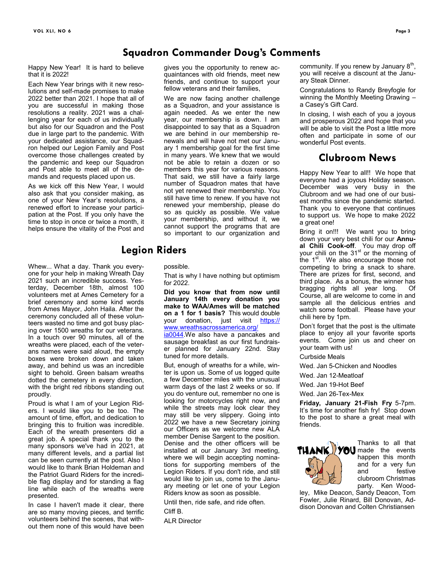### **Squadron Commander Doug's Comments**

Happy New Year! It is hard to believe that it is 2022!

Each New Year brings with it new resolutions and self-made promises to make 2022 better than 2021. I hope that all of you are successful in making those resolutions a reality. 2021 was a challenging year for each of us individually but also for our Squadron and the Post due in large part to the pandemic. With your dedicated assistance, our Squadron helped our Legion Family and Post overcome those challenges created by the pandemic and keep our Squadron and Post able to meet all of the demands and requests placed upon us.

As we kick off this New Year, I would also ask that you consider making, as one of your New Year's resolutions, a renewed effort to increase your participation at the Post. If you only have the time to stop in once or twice a month, it helps ensure the vitality of the Post and

Whew... What a day. Thank you everyone for your help in making Wreath Day 2021 such an incredible success. Yesterday, December 18th, almost 100 volunteers met at Ames Cemetery for a brief ceremony and some kind words from Ames Mayor, John Haila. After the ceremony concluded all of these volunteers wasted no time and got busy placing over 1500 wreaths for our veterans. In a touch over 90 minutes, all of the wreaths were placed, each of the veterans names were said aloud, the empty boxes were broken down and taken away, and behind us was an incredible sight to behold. Green balsam wreaths dotted the cemetery in every direction, with the bright red ribbons standing out proudly.

Proud is what I am of your Legion Riders. I would like you to be too. The amount of time, effort, and dedication to bringing this to fruition was incredible. Each of the wreath presenters did a great job. A special thank you to the many sponsors we've had in 2021, at many different levels, and a partial list can be seen currently at the post. Also I would like to thank Brian Holdeman and the Patriot Guard Riders for the incredible flag display and for standing a flag line while each of the wreaths were presented.

In case I haven't made it clear, there are so many moving pieces, and terrific volunteers behind the scenes, that without them none of this would have been

gives you the opportunity to renew acquaintances with old friends, meet new friends, and continue to support your fellow veterans and their families,

We are now facing another challenge as a Squadron, and your assistance is again needed. As we enter the new year, our membership is down. I am disappointed to say that as a Squadron we are behind in our membership renewals and will have not met our January 1 membership goal for the first time in many years. We knew that we would not be able to retain a dozen or so members this year for various reasons. That said, we still have a fairly large number of Squadron mates that have not yet renewed their membership. You still have time to renew. If you have not renewed your membership, please do so as quickly as possible. We value your membership, and without it, we cannot support the programs that are so important to our organization and

#### **Legion Riders**

possible.

That is why I have nothing but optimism for 2022.

**Did you know that from now until January 14th every donation you make to WAA/Ames will be matched on a 1 for 1 basis?** This would double your donation, just visit [https://](https://na01.safelinks.protection.outlook.com/?url=https%3A%2F%2Fwww.wreathsacrossamerica.org%2Fia0044&data=04%7C01%7C%7C5a6d2d978892450032b008d9c31c3014%7C84df9e7fe9f640afb435aaaaaaaaaaaa%7C1%7C0%7C637755348097717332%7CUnknown%7CTWFpbGZsb3d8eyJWIjoiMC4wLjAwM) [www.wreathsacrossamerica.org/](https://na01.safelinks.protection.outlook.com/?url=https%3A%2F%2Fwww.wreathsacrossamerica.org%2Fia0044&data=04%7C01%7C%7C5a6d2d978892450032b008d9c31c3014%7C84df9e7fe9f640afb435aaaaaaaaaaaa%7C1%7C0%7C637755348097717332%7CUnknown%7CTWFpbGZsb3d8eyJWIjoiMC4wLjAwM)

[ia0044.W](https://na01.safelinks.protection.outlook.com/?url=https%3A%2F%2Fwww.wreathsacrossamerica.org%2Fia0044&data=04%7C01%7C%7C5a6d2d978892450032b008d9c31c3014%7C84df9e7fe9f640afb435aaaaaaaaaaaa%7C1%7C0%7C637755348097717332%7CUnknown%7CTWFpbGZsb3d8eyJWIjoiMC4wLjAwM)e also have a pancakes and sausage breakfast as our first fundraiser planned for January 22nd. Stay tuned for more details.

But, enough of wreaths for a while, winter is upon us. Some of us logged quite a few December miles with the unusual warm days of the last 2 weeks or so. If you do venture out, remember no one is looking for motorcycles right now, and while the streets may look clear they may still be very slippery. Going into 2022 we have a new Secretary joining our Officers as we welcome new ALA member Denise Sargent to the position. Denise and the other officers will be installed at our January 3rd meeting, where we will begin accepting nominations for supporting members of the Legion Riders. If you don't ride, and still would like to join us, come to the January meeting or let one of your Legion Riders know as soon as possible.

Until then, ride safe, and ride often. Cliff B.

ALR Director

community. If you renew by January  $8<sup>th</sup>$ , you will receive a discount at the January Steak Dinner.

Congratulations to Randy Breyfogle for winning the Monthly Meeting Drawing – a Casey's Gift Card.

In closing, I wish each of you a joyous and prosperous 2022 and hope that you will be able to visit the Post a little more often and participate in some of our wonderful Post events.

### **Clubroom News**

Happy New Year to all!! We hope that everyone had a joyous Holiday season. December was very busy in the Clubroom and we had one of our busiest months since the pandemic started. Thank you to everyone that continues to support us. We hope to make 2022 a great one!

Bring it on!!! We want you to bring down your very best chili for our **Annual Chili Cook-off**. You may drop off your chili on the 31<sup>st</sup> or the morning of the  $1<sup>st</sup>$ . We also encourage those not competing to bring a snack to share. There are prizes for first, second, and third place. As a bonus, the winner has bragging rights all year long. Of Course, all are welcome to come in and sample all the delicious entries and watch some football. Please have your chili here by 1pm.

Don't forget that the post is the ultimate place to enjoy all your favorite sports events. Come join us and cheer on your team with us!

Curbside Meals

Wed. Jan 5-Chicken and Noodles

Wed. Jan 12-Meatloaf

Wed. Jan 19-Hot Beef

Wed. Jan 26-Tex-Mex

**Friday, January 21-Fish Fry** 5-7pm. It's time for another fish fry! Stop down to the post to share a great meal with friends.



Thanks to all that THANK) YOU made the events happen this month and for a very fun<br>and festive festive clubroom Christmas party. Ken Wood-

ley, Mike Deacon, Sandy Deacon, Tom Fowler, Julie Rinard, Bill Donovan, Addison Donovan and Colten Christiansen